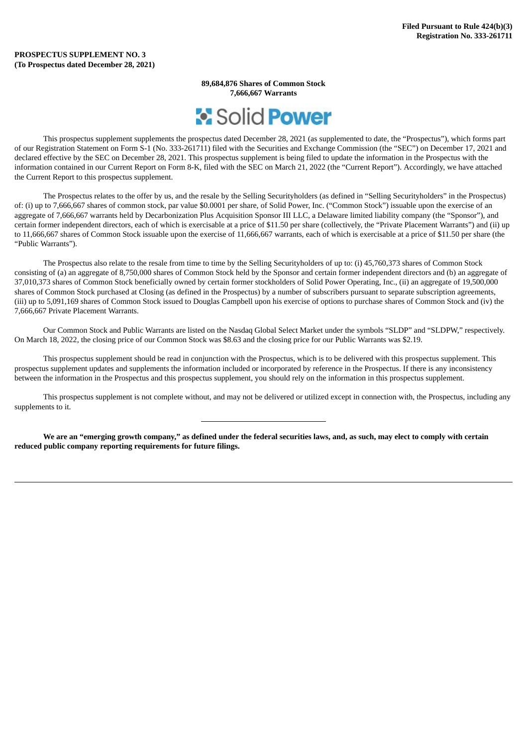**89,684,876 Shares of Common Stock 7,666,667 Warrants**



This prospectus supplement supplements the prospectus dated December 28, 2021 (as supplemented to date, the "Prospectus"), which forms part of our Registration Statement on Form S-1 (No. 333-261711) filed with the Securities and Exchange Commission (the "SEC") on December 17, 2021 and declared effective by the SEC on December 28, 2021. This prospectus supplement is being filed to update the information in the Prospectus with the information contained in our Current Report on Form 8-K, filed with the SEC on March 21, 2022 (the "Current Report"). Accordingly, we have attached the Current Report to this prospectus supplement.

The Prospectus relates to the offer by us, and the resale by the Selling Securityholders (as defined in "Selling Securityholders" in the Prospectus) of: (i) up to 7,666,667 shares of common stock, par value \$0.0001 per share, of Solid Power, Inc. ("Common Stock") issuable upon the exercise of an aggregate of 7,666,667 warrants held by Decarbonization Plus Acquisition Sponsor III LLC, a Delaware limited liability company (the "Sponsor"), and certain former independent directors, each of which is exercisable at a price of \$11.50 per share (collectively, the "Private Placement Warrants") and (ii) up to 11,666,667 shares of Common Stock issuable upon the exercise of 11,666,667 warrants, each of which is exercisable at a price of \$11.50 per share (the "Public Warrants").

The Prospectus also relate to the resale from time to time by the Selling Securityholders of up to: (i) 45,760,373 shares of Common Stock consisting of (a) an aggregate of 8,750,000 shares of Common Stock held by the Sponsor and certain former independent directors and (b) an aggregate of 37,010,373 shares of Common Stock beneficially owned by certain former stockholders of Solid Power Operating, Inc., (ii) an aggregate of 19,500,000 shares of Common Stock purchased at Closing (as defined in the Prospectus) by a number of subscribers pursuant to separate subscription agreements, (iii) up to 5,091,169 shares of Common Stock issued to Douglas Campbell upon his exercise of options to purchase shares of Common Stock and (iv) the 7,666,667 Private Placement Warrants.

Our Common Stock and Public Warrants are listed on the Nasdaq Global Select Market under the symbols "SLDP" and "SLDPW," respectively. On March 18, 2022, the closing price of our Common Stock was \$8.63 and the closing price for our Public Warrants was \$2.19.

This prospectus supplement should be read in conjunction with the Prospectus, which is to be delivered with this prospectus supplement. This prospectus supplement updates and supplements the information included or incorporated by reference in the Prospectus. If there is any inconsistency between the information in the Prospectus and this prospectus supplement, you should rely on the information in this prospectus supplement.

This prospectus supplement is not complete without, and may not be delivered or utilized except in connection with, the Prospectus, including any supplements to it.

We are an "emerging growth company," as defined under the federal securities laws, and, as such, may elect to comply with certain **reduced public company reporting requirements for future filings.**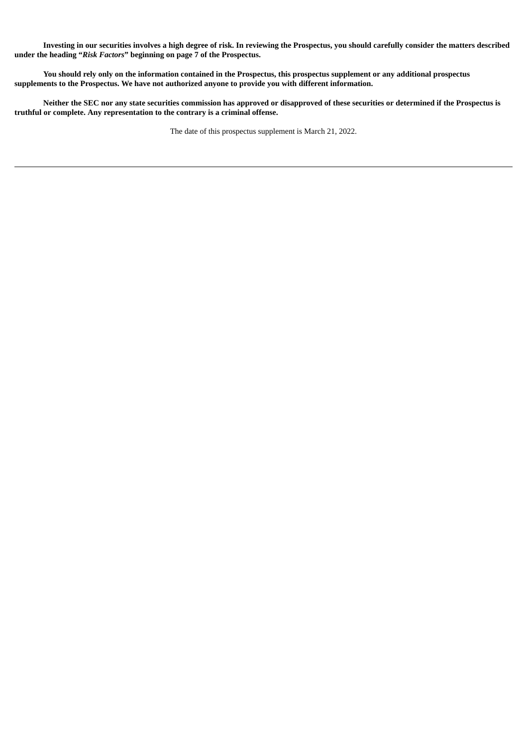Investing in our securities involves a high degree of risk. In reviewing the Prospectus, you should carefully consider the matters described **under the heading "***Risk Factors***" beginning on page 7 of the Prospectus.**

You should rely only on the information contained in the Prospectus, this prospectus supplement or any additional prospectus **supplements to the Prospectus. We have not authorized anyone to provide you with different information.**

Neither the SEC nor any state securities commission has approved or disapproved of these securities or determined if the Prospectus is **truthful or complete. Any representation to the contrary is a criminal offense.**

The date of this prospectus supplement is March 21, 2022.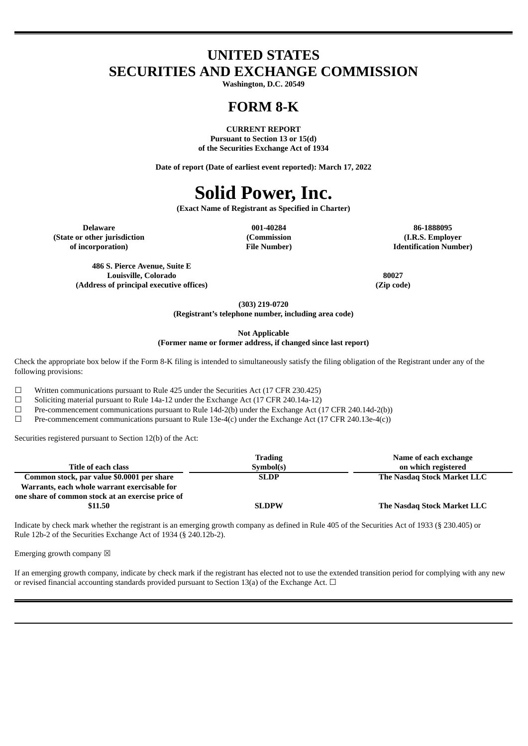## **UNITED STATES SECURITIES AND EXCHANGE COMMISSION**

**Washington, D.C. 20549**

### **FORM 8-K**

**CURRENT REPORT Pursuant to Section 13 or 15(d) of the Securities Exchange Act of 1934**

**Date of report (Date of earliest event reported): March 17, 2022**

# **Solid Power, Inc.**

**(Exact Name of Registrant as Specified in Charter)**

**(Commission**

**Delaware 001-40284 86-1888095 (State or other jurisdiction of incorporation)**

**File Number)**

**486 S. Pierce Avenue, Suite E Louisville, Colorado 80027 (Address of principal executive offices) (Zip code)**

**(I.R.S. Employer Identification Number)**

**(303) 219-0720**

**(Registrant's telephone number, including area code)**

**Not Applicable**

**(Former name or former address, if changed since last report)**

Check the appropriate box below if the Form 8-K filing is intended to simultaneously satisfy the filing obligation of the Registrant under any of the following provisions:

 $\Box$  Written communications pursuant to Rule 425 under the Securities Act (17 CFR 230.425)

 $\Box$  Soliciting material pursuant to Rule 14a-12 under the Exchange Act (17 CFR 240.14a-12)

☐ Pre-commencement communications pursuant to Rule 14d-2(b) under the Exchange Act (17 CFR 240.14d-2(b))

 $□$  Pre-commencement communications pursuant to Rule 13e-4(c) under the Exchange Act (17 CFR 240.13e-4(c))

Securities registered pursuant to Section 12(b) of the Act:

|                                                   | <b>Trading</b> | Name of each exchange       |
|---------------------------------------------------|----------------|-----------------------------|
| Title of each class                               | Symbol(s)      | on which registered         |
| Common stock, par value \$0.0001 per share        | <b>SLDP</b>    | The Nasdag Stock Market LLC |
| Warrants, each whole warrant exercisable for      |                |                             |
| one share of common stock at an exercise price of |                |                             |
| \$11.50                                           | <b>SLDPW</b>   | The Nasdag Stock Market LLC |

Indicate by check mark whether the registrant is an emerging growth company as defined in Rule 405 of the Securities Act of 1933 (§ 230.405) or Rule 12b-2 of the Securities Exchange Act of 1934 (§ 240.12b-2).

Emerging growth company  $\boxtimes$ 

If an emerging growth company, indicate by check mark if the registrant has elected not to use the extended transition period for complying with any new or revised financial accounting standards provided pursuant to Section 13(a) of the Exchange Act.  $\Box$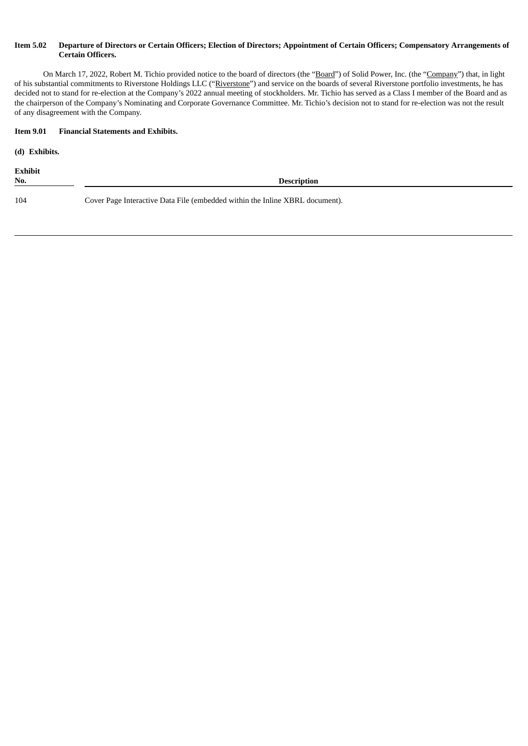#### Item 5.02 Departure of Directors or Certain Officers; Election of Directors; Appointment of Certain Officers; Compensatory Arrangements of **Certain Officers.**

On March 17, 2022, Robert M. Tichio provided notice to the board of directors (the "Board") of Solid Power, Inc. (the "Company") that, in light of his substantial commitments to Riverstone Holdings LLC ("Riverstone") and service on the boards of several Riverstone portfolio investments, he has decided not to stand for re-election at the Company's 2022 annual meeting of stockholders. Mr. Tichio has served as a Class I member of the Board and as the chairperson of the Company's Nominating and Corporate Governance Committee. Mr. Tichio's decision not to stand for re-election was not the result of any disagreement with the Company.

#### **Item 9.01 Financial Statements and Exhibits.**

**(d) Exhibits.**

**Exhibit No. Description** 104 Cover Page Interactive Data File (embedded within the Inline XBRL document).